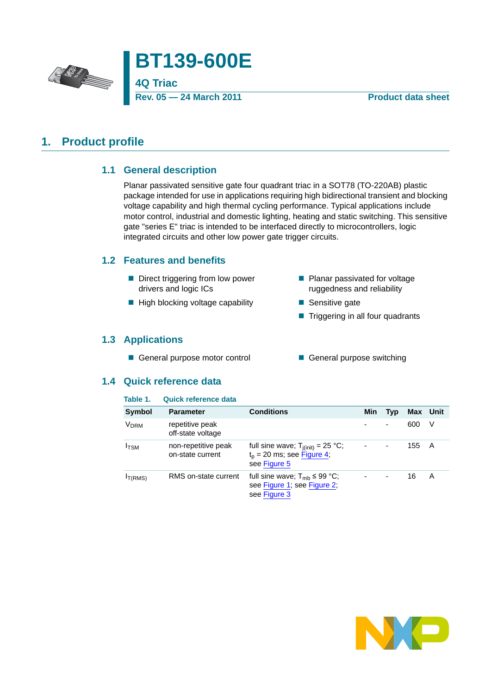



### **Rev. 05 — 24 March 2011 Product data sheet**

## <span id="page-0-1"></span><span id="page-0-0"></span>**1. Product profile**

## **1.1 General description**

Planar passivated sensitive gate four quadrant triac in a SOT78 (TO-220AB) plastic package intended for use in applications requiring high bidirectional transient and blocking voltage capability and high thermal cycling performance. Typical applications include motor control, industrial and domestic lighting, heating and static switching. This sensitive gate "series E" triac is intended to be interfaced directly to microcontrollers, logic integrated circuits and other low power gate trigger circuits.

## <span id="page-0-2"></span>**1.2 Features and benefits**

- Direct triggering from low power drivers and logic ICs
- $\blacksquare$  High blocking voltage capability
- ruggedness and reliability ■ Sensitive gate
	- **Triggering in all four quadrants**

**Planar passivated for voltage** 

## <span id="page-0-3"></span>**1.3 Applications**

- General purpose motor control General purpose switching
- 

### <span id="page-0-4"></span>**1.4 Quick reference data**

### **Table 1. Quick reference data**

| <b>Symbol</b>    | <b>Parameter</b>                        | <b>Conditions</b>                                                                      | Min    | Typ                      | Max Unit |   |
|------------------|-----------------------------------------|----------------------------------------------------------------------------------------|--------|--------------------------|----------|---|
| V <sub>DRM</sub> | repetitive peak<br>off-state voltage    |                                                                                        |        | ۰                        | 600      | V |
| $I_{\text{TSM}}$ | non-repetitive peak<br>on-state current | full sine wave; $T_{i(int)} = 25 °C$ ;<br>$t_p$ = 20 ms; see Figure 4;<br>see Figure 5 | $\sim$ | $\blacksquare$           | 155      | A |
| IT(RMS)          | RMS on-state current                    | full sine wave; $T_{mb} \leq 99$ °C;<br>see Figure 1; see Figure 2;<br>see Figure 3    | ۰.     | $\overline{\phantom{a}}$ | 16       | A |

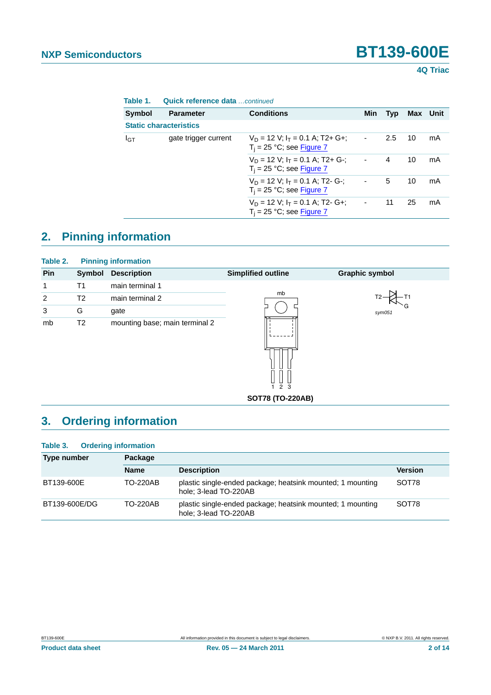**4Q Triac**

| Table 1. | <b>Quick reference data</b> continued |  |
|----------|---------------------------------------|--|
|          |                                       |  |

| Symbol                        | <b>Parameter</b>     | <b>Conditions</b>                                                     | Min            | Typ | Max Unit |    |
|-------------------------------|----------------------|-----------------------------------------------------------------------|----------------|-----|----------|----|
| <b>Static characteristics</b> |                      |                                                                       |                |     |          |    |
| $I_{GT}$                      | gate trigger current | $V_D = 12 V$ ; $I_T = 0.1 A$ ; T2+ G+;<br>$T_i$ = 25 °C; see Figure 7 | $\sim$         | 2.5 | 10       | mA |
|                               |                      | $V_D = 12 V$ ; $I_T = 0.1 A$ ; T2+ G-;<br>$T_i = 25$ °C; see Figure 7 | $\blacksquare$ | 4   | 10       | mA |
|                               |                      | $V_D = 12 V$ ; $I_T = 0.1 A$ ; T2- G-;<br>$T_i = 25$ °C; see Figure 7 | $\blacksquare$ | 5   | 10       | mA |
|                               |                      | $V_D = 12 V$ ; $I_T = 0.1 A$ ; T2- G+;<br>$T_i = 25$ °C; see Figure 7 | $\blacksquare$ | 11  | 25       | mA |

# <span id="page-1-0"></span>**2. Pinning information**

| Table 2.       |                | <b>Pinning information</b>     |                           |                       |
|----------------|----------------|--------------------------------|---------------------------|-----------------------|
| Pin            | Symbol         | <b>Description</b>             | <b>Simplified outline</b> | <b>Graphic symbol</b> |
| 1              | Τ1             | main terminal 1                |                           |                       |
| $\overline{2}$ | T2             | main terminal 2                | mb                        |                       |
| 3              | G              | gate                           |                           | sym051                |
| mb             | T <sub>2</sub> | mounting base; main terminal 2 |                           |                       |

**SOT78 (TO-220AB)**

1 2 3

# <span id="page-1-1"></span>**3. Ordering information**

### **Table 3. Ordering information**

| Type number   | Package         |                                                                                     |                |
|---------------|-----------------|-------------------------------------------------------------------------------------|----------------|
|               | <b>Name</b>     | <b>Description</b>                                                                  | <b>Version</b> |
| BT139-600E    | <b>TO-220AB</b> | plastic single-ended package; heatsink mounted; 1 mounting<br>hole: 3-lead TO-220AB | SOT78          |
| BT139-600E/DG | <b>TO-220AB</b> | plastic single-ended package; heatsink mounted; 1 mounting<br>hole; 3-lead TO-220AB | SOT78          |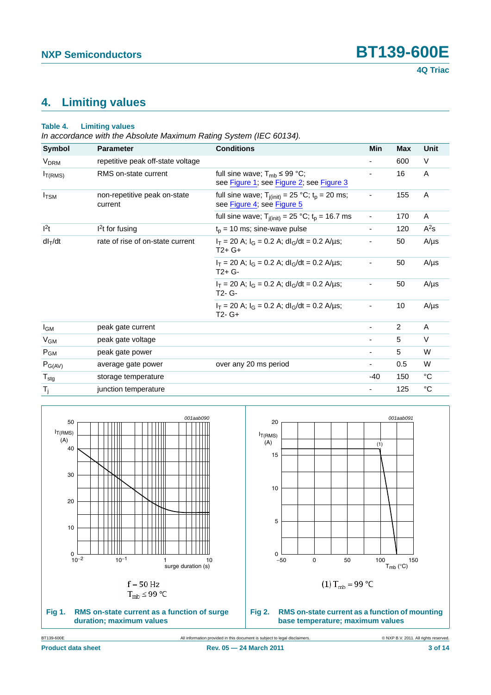# <span id="page-2-2"></span>**4. Limiting values**

### **Table 4. Limiting values**

*In accordance with the Absolute Maximum Rating System (IEC 60134).*

| Symbol                 | <b>Parameter</b>                        | <b>Conditions</b>                                                                         | <b>Min</b>               | <b>Max</b> | Unit        |
|------------------------|-----------------------------------------|-------------------------------------------------------------------------------------------|--------------------------|------------|-------------|
| <b>V<sub>DRM</sub></b> | repetitive peak off-state voltage       |                                                                                           |                          | 600        | V           |
| $I_{T(RMS)}$           | RMS on-state current                    | full sine wave; $T_{mb} \leq 99 \text{ °C}$ ;<br>see Figure 1; see Figure 2; see Figure 3 | ۰                        | 16         | Α           |
| $I_{TSM}$              | non-repetitive peak on-state<br>current | full sine wave; $T_{j(init)} = 25 °C$ ; $t_p = 20$ ms;<br>see Figure 4; see Figure 5      |                          | 155        | Α           |
|                        |                                         | full sine wave; $T_{j(int)} = 25 °C$ ; $t_p = 16.7$ ms                                    | -                        | 170        | Α           |
| $ ^{2}t$               | <sup>2</sup> t for fusing               | $t_p$ = 10 ms; sine-wave pulse                                                            | ۰                        | 120        | $A^2s$      |
| $dl_T/dt$              | rate of rise of on-state current        | $I_T$ = 20 A; $I_G$ = 0.2 A; dl <sub>G</sub> /dt = 0.2 A/µs;<br>$T2+G+$                   |                          | 50         | $A/\mu s$   |
|                        |                                         | $I_T$ = 20 A; $I_G$ = 0.2 A; dl <sub>G</sub> /dt = 0.2 A/µs;<br>$T2+G-$                   |                          | 50         | $A/\mu s$   |
|                        |                                         | $I_T$ = 20 A; $I_G$ = 0.2 A; dl <sub>G</sub> /dt = 0.2 A/µs;<br>T <sub>2</sub> - G-       |                          | 50         | $A/\mu s$   |
|                        |                                         | $I_T$ = 20 A; $I_G$ = 0.2 A; dl <sub>G</sub> /dt = 0.2 A/µs;<br>$T2 - G+$                 |                          | 10         | $A/\mu s$   |
| <b>I</b> GM            | peak gate current                       |                                                                                           | $\overline{\phantom{a}}$ | 2          | A           |
| $V_{GM}$               | peak gate voltage                       |                                                                                           | $\overline{\phantom{a}}$ | 5          | $\vee$      |
| $P_{GM}$               | peak gate power                         |                                                                                           | ۰                        | 5          | W           |
| $P_{G(AV)}$            | average gate power                      | over any 20 ms period                                                                     | ۰                        | 0.5        | W           |
| $T_{\text{stg}}$       | storage temperature                     |                                                                                           | $-40$                    | 150        | $^{\circ}C$ |
| $T_{j}$                | junction temperature                    |                                                                                           | ٠                        | 125        | $^{\circ}C$ |

<span id="page-2-1"></span><span id="page-2-0"></span>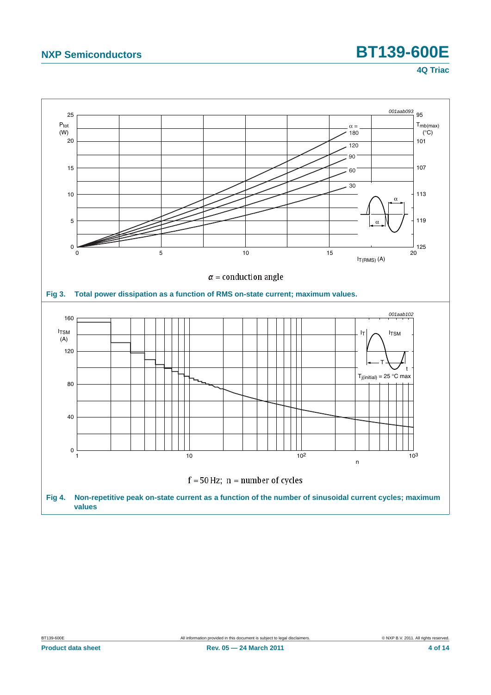<span id="page-3-1"></span><span id="page-3-0"></span>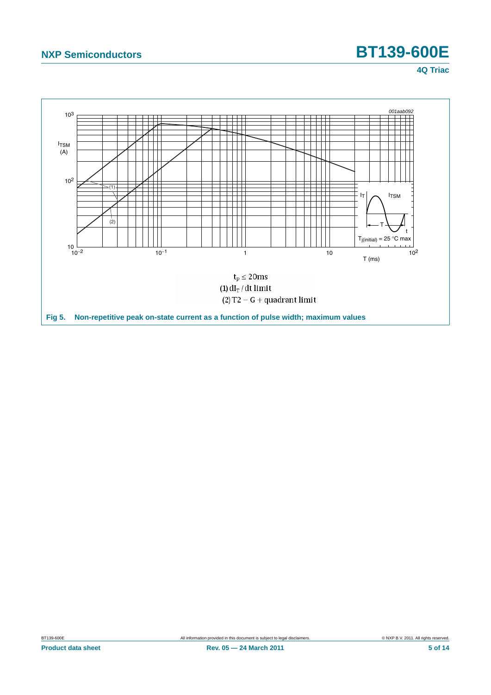<span id="page-4-0"></span>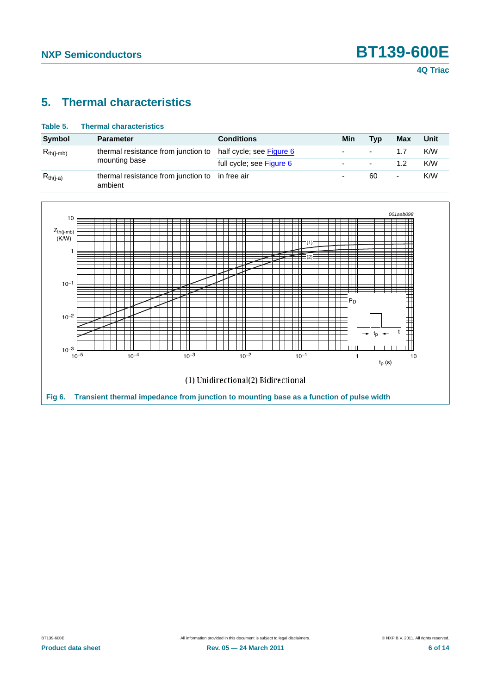# <span id="page-5-1"></span>**5. Thermal characteristics**

| Table 5.       | <b>Thermal characteristics</b>                 |                          |                          |     |     |      |
|----------------|------------------------------------------------|--------------------------|--------------------------|-----|-----|------|
| Symbol         | <b>Parameter</b>                               | <b>Conditions</b>        | Min                      | Tvp | Max | Unit |
| $R_{th(i-mb)}$ | thermal resistance from junction to            | half cycle; see Figure 6 | $\overline{\phantom{0}}$ | ۰   | 1.7 | K/W  |
|                | mounting base                                  | full cycle; see Figure 6 | $\overline{\phantom{0}}$ | ٠   | 1.2 | K/W  |
| $R_{th(i-a)}$  | thermal resistance from junction to<br>ambient | in free air              |                          | 60  | ۰   | K/W  |

<span id="page-5-0"></span>

**Product data sheet 6 05 CM CM 2011 CM Rev. 05 – 24 March 2011 CM 2011 CM 2012 CM 2018 CM 2018 CM 201**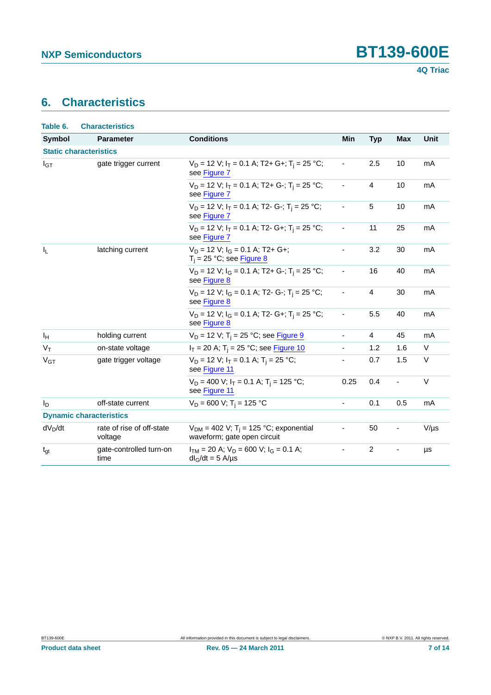# <span id="page-6-0"></span>**6. Characteristics**

| Table 6.       | <b>Characteristics</b>               |                                                                                       |                              |                |                          |           |
|----------------|--------------------------------------|---------------------------------------------------------------------------------------|------------------------------|----------------|--------------------------|-----------|
| <b>Symbol</b>  | <b>Parameter</b>                     | <b>Conditions</b>                                                                     | Min                          | <b>Typ</b>     | <b>Max</b>               | Unit      |
|                | <b>Static characteristics</b>        |                                                                                       |                              |                |                          |           |
| $I_{GT}$       | gate trigger current                 | $V_D = 12$ V; $I_T = 0.1$ A; T2+ G+; T <sub>i</sub> = 25 °C;<br>see Figure 7          | ÷,                           | 2.5            | 10                       | mA        |
|                |                                      | $V_D = 12$ V; $I_T = 0.1$ A; T2+ G-; T <sub>i</sub> = 25 °C;<br>see Figure 7          | $\overline{\phantom{a}}$     | $\overline{4}$ | 10                       | mA        |
|                |                                      | $V_D$ = 12 V; $I_T$ = 0.1 A; T2- G-; T <sub>i</sub> = 25 °C;<br>see Figure 7          |                              | $\sqrt{5}$     | 10                       | mA        |
|                |                                      | $V_D = 12$ V; $I_T = 0.1$ A; T2- G+; T <sub>i</sub> = 25 °C;<br>see Figure 7          | ÷,                           | 11             | 25                       | mA        |
| $I_L$          | latching current                     | $V_D = 12$ V; $I_G = 0.1$ A; T2+ G+;<br>$T_i = 25 °C$ ; see Figure 8                  | $\overline{\phantom{a}}$     | 3.2            | 30                       | mA        |
|                |                                      | $V_D = 12$ V; $I_G = 0.1$ A; T2+ G-; T <sub>i</sub> = 25 °C;<br>see Figure 8          |                              | 16             | 40                       | mA        |
|                |                                      | $V_D = 12$ V; $I_G = 0.1$ A; T2- G-; T <sub>i</sub> = 25 °C;<br>see Figure 8          | ÷,                           | $\overline{4}$ | 30                       | mA        |
|                |                                      | $V_D = 12$ V; $I_G = 0.1$ A; T2- G+; T <sub>i</sub> = 25 °C;<br>see Figure 8          | $\overline{\phantom{a}}$     | 5.5            | 40                       | mA        |
| ΙH             | holding current                      | $V_D$ = 12 V; T <sub>i</sub> = 25 °C; see Figure 9                                    | $\blacksquare$               | $\overline{4}$ | 45                       | mA        |
| $V_T$          | on-state voltage                     | $I_T = 20$ A; T <sub>i</sub> = 25 °C; see <b>Figure 10</b>                            |                              | 1.2            | 1.6                      | V         |
| $V_{GT}$       | gate trigger voltage                 | $V_D = 12$ V; $I_T = 0.1$ A; $T_i = 25$ °C;<br>see Figure 11                          | $\overline{\phantom{a}}$     | 0.7            | 1.5                      | $\vee$    |
|                |                                      | $V_D = 400$ V; $I_T = 0.1$ A; $T_i = 125$ °C;<br>see Figure 11                        | 0.25                         | 0.4            | $\blacksquare$           | $\vee$    |
| I <sub>D</sub> | off-state current                    | $V_D = 600$ V; T <sub>i</sub> = 125 °C                                                | $\overline{\phantom{0}}$     | 0.1            | 0.5                      | mA        |
|                | <b>Dynamic characteristics</b>       |                                                                                       |                              |                |                          |           |
| $dV_D/dt$      | rate of rise of off-state<br>voltage | $V_{DM}$ = 402 V; T <sub>i</sub> = 125 °C; exponential<br>waveform; gate open circuit | $\frac{1}{2}$                | 50             | $\overline{\phantom{0}}$ | $V/\mu s$ |
| $t_{gt}$       | gate-controlled turn-on<br>time      | $I_{TM}$ = 20 A; $V_D$ = 600 V; $I_G$ = 0.1 A;<br>$dl_G/dt = 5$ A/µs                  | $\qquad \qquad \blacksquare$ | $\overline{c}$ |                          | μs        |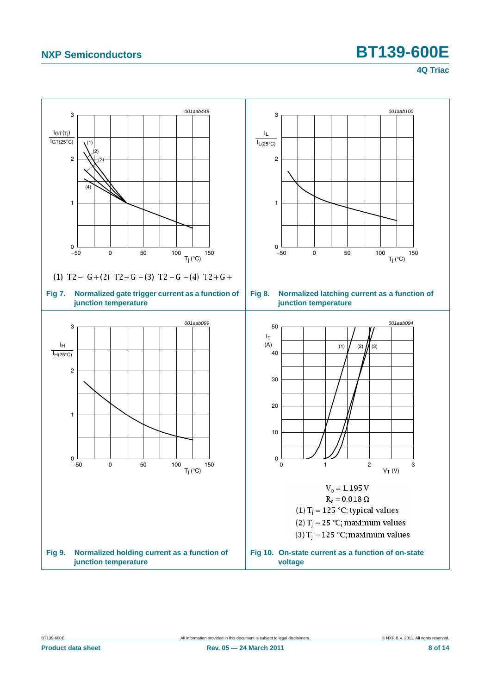<span id="page-7-1"></span><span id="page-7-0"></span>

<span id="page-7-3"></span><span id="page-7-2"></span>**Product data sheet 8 of 14 Rev. 05 — 24 March 2011 Rev. 05 — 24 March 2011 8 of 14**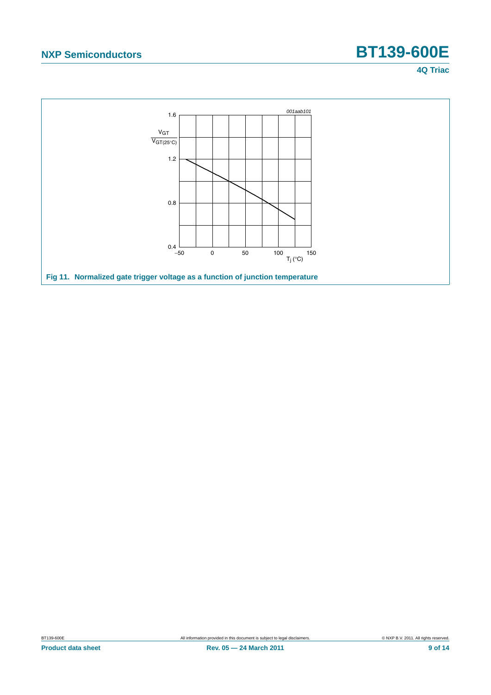<span id="page-8-0"></span>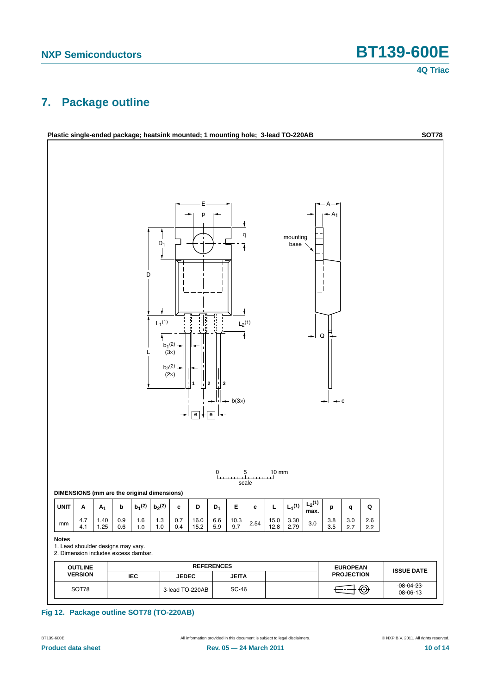# <span id="page-9-0"></span>**7. Package outline**



### **Fig 12. Package outline SOT78 (TO-220AB)**

BT139-600E **All information provided in this document** is subject to legal disclaimers. **Example 2011.** All rights reserved. **Product data sheet 10 of 14** Rev. 05 — 24 March 2011 10 06 14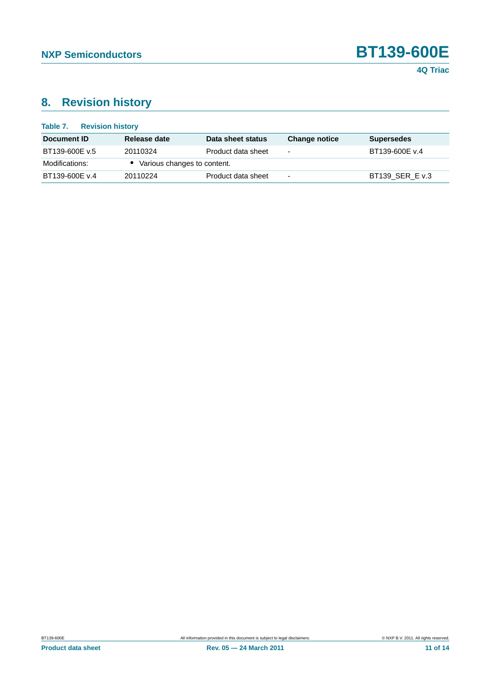

# <span id="page-10-0"></span>**8. Revision history**

| Table 7.<br><b>Revision history</b> |                               |                    |                          |                   |
|-------------------------------------|-------------------------------|--------------------|--------------------------|-------------------|
| Document ID                         | Release date                  | Data sheet status  | <b>Change notice</b>     | <b>Supersedes</b> |
| BT139-600E v.5                      | 20110324                      | Product data sheet | $\overline{\phantom{0}}$ | BT139-600E v.4    |
| Modifications:                      | • Various changes to content. |                    |                          |                   |
| BT139-600E v.4                      | 20110224                      | Product data sheet | $\overline{\phantom{0}}$ | BT139 SER E v.3   |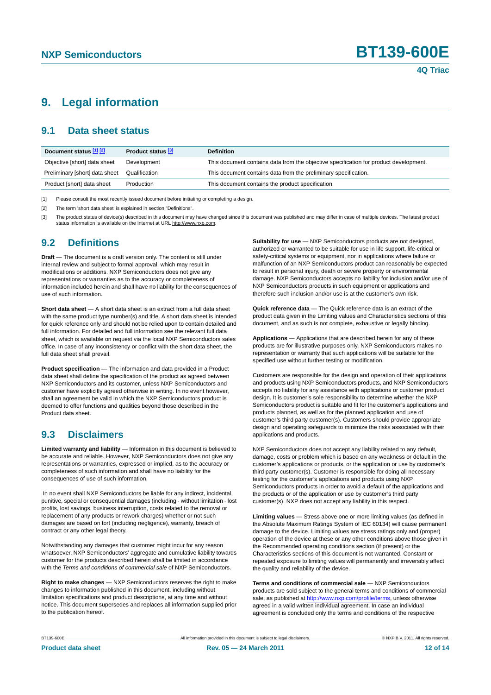## <span id="page-11-3"></span>**9. Legal information**

### <span id="page-11-4"></span>**9.1 Data sheet status**

| Document status [1] [2]        | Product status [3] | <b>Definition</b>                                                                     |
|--------------------------------|--------------------|---------------------------------------------------------------------------------------|
| Objective [short] data sheet   | Development        | This document contains data from the objective specification for product development. |
| Preliminary [short] data sheet | Qualification      | This document contains data from the preliminary specification.                       |
| Product [short] data sheet     | Production         | This document contains the product specification.                                     |

<span id="page-11-0"></span>[1] Please consult the most recently issued document before initiating or completing a design.

<span id="page-11-1"></span>[2] The term 'short data sheet' is explained in section "Definitions"

<span id="page-11-2"></span>[3] The product status of device(s) described in this document may have changed since this document was published and may differ in case of multiple devices. The latest product<br>status information is available on the Intern

### <span id="page-11-5"></span>**9.2 Definitions**

**Draft** — The document is a draft version only. The content is still under internal review and subject to formal approval, which may result in modifications or additions. NXP Semiconductors does not give any representations or warranties as to the accuracy or completeness of information included herein and shall have no liability for the consequences of use of such information.

**Short data sheet** — A short data sheet is an extract from a full data sheet with the same product type number(s) and title. A short data sheet is intended for quick reference only and should not be relied upon to contain detailed and full information. For detailed and full information see the relevant full data sheet, which is available on request via the local NXP Semiconductors sales office. In case of any inconsistency or conflict with the short data sheet, the full data sheet shall prevail.

**Product specification** — The information and data provided in a Product data sheet shall define the specification of the product as agreed between NXP Semiconductors and its customer, unless NXP Semiconductors and customer have explicitly agreed otherwise in writing. In no event however, shall an agreement be valid in which the NXP Semiconductors product is deemed to offer functions and qualities beyond those described in the Product data sheet.

### <span id="page-11-6"></span>**9.3 Disclaimers**

**Limited warranty and liability** — Information in this document is believed to be accurate and reliable. However, NXP Semiconductors does not give any representations or warranties, expressed or implied, as to the accuracy or completeness of such information and shall have no liability for the consequences of use of such information.

 In no event shall NXP Semiconductors be liable for any indirect, incidental, punitive, special or consequential damages (including - without limitation - lost profits, lost savings, business interruption, costs related to the removal or replacement of any products or rework charges) whether or not such damages are based on tort (including negligence), warranty, breach of contract or any other legal theory.

Notwithstanding any damages that customer might incur for any reason whatsoever, NXP Semiconductors' aggregate and cumulative liability towards customer for the products described herein shall be limited in accordance with the *Terms and conditions of commercial sale* of NXP Semiconductors.

**Right to make changes** — NXP Semiconductors reserves the right to make changes to information published in this document, including without limitation specifications and product descriptions, at any time and without notice. This document supersedes and replaces all information supplied prior to the publication hereof.

**Suitability for use** — NXP Semiconductors products are not designed, authorized or warranted to be suitable for use in life support, life-critical or safety-critical systems or equipment, nor in applications where failure or malfunction of an NXP Semiconductors product can reasonably be expected to result in personal injury, death or severe property or environmental damage. NXP Semiconductors accepts no liability for inclusion and/or use of NXP Semiconductors products in such equipment or applications and therefore such inclusion and/or use is at the customer's own risk.

**Quick reference data** — The Quick reference data is an extract of the product data given in the Limiting values and Characteristics sections of this document, and as such is not complete, exhaustive or legally binding.

**Applications** — Applications that are described herein for any of these products are for illustrative purposes only. NXP Semiconductors makes no representation or warranty that such applications will be suitable for the specified use without further testing or modification.

Customers are responsible for the design and operation of their applications and products using NXP Semiconductors products, and NXP Semiconductors accepts no liability for any assistance with applications or customer product design. It is customer's sole responsibility to determine whether the NXP Semiconductors product is suitable and fit for the customer's applications and products planned, as well as for the planned application and use of customer's third party customer(s). Customers should provide appropriate design and operating safeguards to minimize the risks associated with their applications and products.

NXP Semiconductors does not accept any liability related to any default, damage, costs or problem which is based on any weakness or default in the customer's applications or products, or the application or use by customer's third party customer(s). Customer is responsible for doing all necessary testing for the customer's applications and products using NXP Semiconductors products in order to avoid a default of the applications and the products or of the application or use by customer's third party customer(s). NXP does not accept any liability in this respect.

**Limiting values** — Stress above one or more limiting values (as defined in the Absolute Maximum Ratings System of IEC 60134) will cause permanent damage to the device. Limiting values are stress ratings only and (proper) operation of the device at these or any other conditions above those given in the Recommended operating conditions section (if present) or the Characteristics sections of this document is not warranted. Constant or repeated exposure to limiting values will permanently and irreversibly affect the quality and reliability of the device.

**Terms and conditions of commercial sale** — NXP Semiconductors products are sold subject to the general terms and conditions of commercial sale, as published at http://www.nxp.com/profile/terms, unless otherwise agreed in a valid written individual agreement. In case an individual agreement is concluded only the terms and conditions of the respective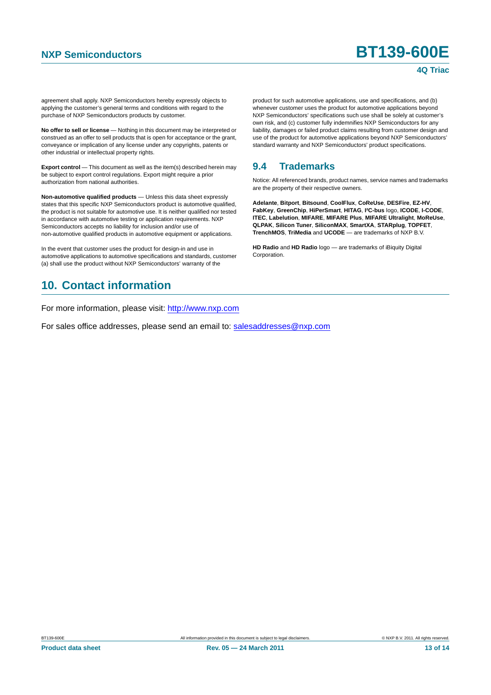agreement shall apply. NXP Semiconductors hereby expressly objects to applying the customer's general terms and conditions with regard to the purchase of NXP Semiconductors products by customer.

**No offer to sell or license** — Nothing in this document may be interpreted or construed as an offer to sell products that is open for acceptance or the grant, conveyance or implication of any license under any copyrights, patents or other industrial or intellectual property rights.

**Export control** — This document as well as the item(s) described herein may be subject to export control regulations. Export might require a prior authorization from national authorities.

**Non-automotive qualified products** — Unless this data sheet expressly states that this specific NXP Semiconductors product is automotive qualified, the product is not suitable for automotive use. It is neither qualified nor tested in accordance with automotive testing or application requirements. NXP Semiconductors accepts no liability for inclusion and/or use of non-automotive qualified products in automotive equipment or applications.

In the event that customer uses the product for design-in and use in automotive applications to automotive specifications and standards, customer (a) shall use the product without NXP Semiconductors' warranty of the

## <span id="page-12-1"></span>**10. Contact information**

For more information, please visit: http://www.nxp.com

For sales office addresses, please send an email to: salesaddresses@nxp.com

product for such automotive applications, use and specifications, and (b) whenever customer uses the product for automotive applications beyond NXP Semiconductors' specifications such use shall be solely at customer's own risk, and (c) customer fully indemnifies NXP Semiconductors for any liability, damages or failed product claims resulting from customer design and use of the product for automotive applications beyond NXP Semiconductors' standard warranty and NXP Semiconductors' product specifications.

## <span id="page-12-0"></span>**9.4 Trademarks**

Notice: All referenced brands, product names, service names and trademarks are the property of their respective owners.

**Adelante**, **Bitport**, **Bitsound**, **CoolFlux**, **CoReUse**, **DESFire**, **EZ-HV**, **FabKey**, **GreenChip**, **HiPerSmart**, **HITAG**, **I²C-bus** logo, **ICODE**, **I-CODE**, **ITEC**, **Labelution**, **MIFARE**, **MIFARE Plus**, **MIFARE Ultralight**, **MoReUse**, **QLPAK**, **Silicon Tuner**, **SiliconMAX**, **SmartXA**, **STARplug**, **TOPFET**, **TrenchMOS**, **TriMedia** and **UCODE** — are trademarks of NXP B.V.

**HD Radio** and **HD Radio** logo — are trademarks of iBiquity Digital Corporation.